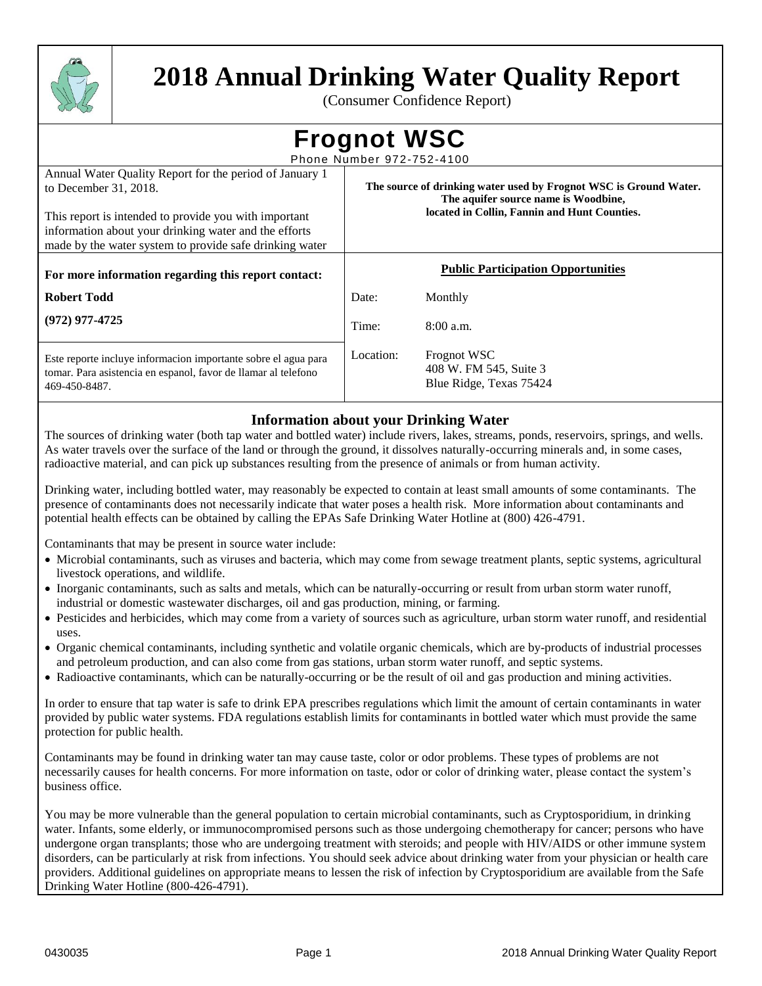

 $21, 2010$ 

# **2018 Annual Drinking Water Quality Report**

(Consumer Confidence Report)

**Frognot WSC**

Phone Number 972-752-4100 Annual Water Quality Report for the period of January 1 **The source of drinking water used by Frognot WSC is Ground Water.**

| to December 31, 2018.<br>This report is intended to provide you with important<br>information about your drinking water and the efforts<br>made by the water system to provide safe drinking water | THE SOUTCE OF UTHINING WATER USED BY FTOGHOL WISC IS CITOURD WATER.<br>The aquifer source name is Woodbine,<br>located in Collin, Fannin and Hunt Counties. |                                                                  |  |  |  |  |
|----------------------------------------------------------------------------------------------------------------------------------------------------------------------------------------------------|-------------------------------------------------------------------------------------------------------------------------------------------------------------|------------------------------------------------------------------|--|--|--|--|
| For more information regarding this report contact:                                                                                                                                                |                                                                                                                                                             | <b>Public Participation Opportunities</b>                        |  |  |  |  |
| <b>Robert Todd</b>                                                                                                                                                                                 | Date:                                                                                                                                                       | Monthly                                                          |  |  |  |  |
| $(972)$ 977-4725                                                                                                                                                                                   | Time:                                                                                                                                                       | $8:00$ a.m.                                                      |  |  |  |  |
| Este reporte incluye informacion importante sobre el agua para<br>tomar. Para asistencia en espanol, favor de llamar al telefono<br>469-450-8487.                                                  | Location:                                                                                                                                                   | Frognot WSC<br>408 W. FM 545, Suite 3<br>Blue Ridge, Texas 75424 |  |  |  |  |

## **Information about your Drinking Water**

The sources of drinking water (both tap water and bottled water) include rivers, lakes, streams, ponds, reservoirs, springs, and wells. As water travels over the surface of the land or through the ground, it dissolves naturally-occurring minerals and, in some cases, radioactive material, and can pick up substances resulting from the presence of animals or from human activity.

Drinking water, including bottled water, may reasonably be expected to contain at least small amounts of some contaminants. The presence of contaminants does not necessarily indicate that water poses a health risk. More information about contaminants and potential health effects can be obtained by calling the EPAs Safe Drinking Water Hotline at (800) 426-4791.

Contaminants that may be present in source water include:

- Microbial contaminants, such as viruses and bacteria, which may come from sewage treatment plants, septic systems, agricultural livestock operations, and wildlife.
- Inorganic contaminants, such as salts and metals, which can be naturally-occurring or result from urban storm water runoff, industrial or domestic wastewater discharges, oil and gas production, mining, or farming.
- Pesticides and herbicides, which may come from a variety of sources such as agriculture, urban storm water runoff, and residential uses.
- Organic chemical contaminants, including synthetic and volatile organic chemicals, which are by-products of industrial processes and petroleum production, and can also come from gas stations, urban storm water runoff, and septic systems.
- Radioactive contaminants, which can be naturally-occurring or be the result of oil and gas production and mining activities.

In order to ensure that tap water is safe to drink EPA prescribes regulations which limit the amount of certain contaminants in water provided by public water systems. FDA regulations establish limits for contaminants in bottled water which must provide the same protection for public health.

Contaminants may be found in drinking water tan may cause taste, color or odor problems. These types of problems are not necessarily causes for health concerns. For more information on taste, odor or color of drinking water, please contact the system's business office.

You may be more vulnerable than the general population to certain microbial contaminants, such as Cryptosporidium, in drinking water. Infants, some elderly, or immunocompromised persons such as those undergoing chemotherapy for cancer; persons who have undergone organ transplants; those who are undergoing treatment with steroids; and people with HIV/AIDS or other immune system disorders, can be particularly at risk from infections. You should seek advice about drinking water from your physician or health care providers. Additional guidelines on appropriate means to lessen the risk of infection by Cryptosporidium are available from the Safe Drinking Water Hotline (800-426-4791).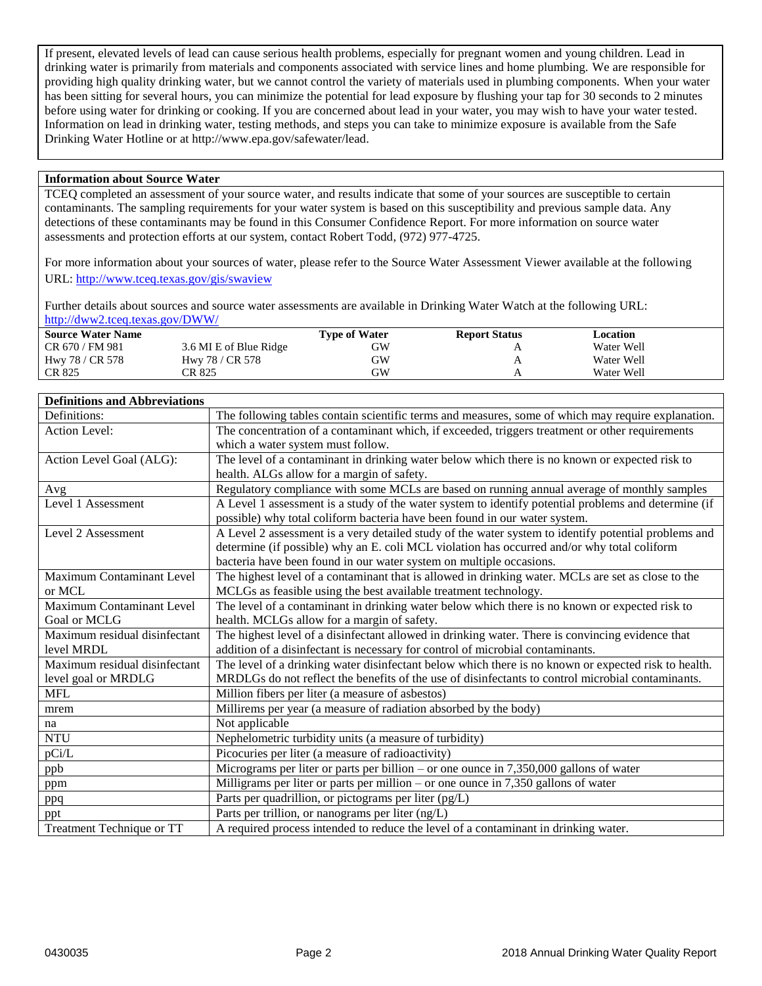If present, elevated levels of lead can cause serious health problems, especially for pregnant women and young children. Lead in drinking water is primarily from materials and components associated with service lines and home plumbing. We are responsible for providing high quality drinking water, but we cannot control the variety of materials used in plumbing components. When your water has been sitting for several hours, you can minimize the potential for lead exposure by flushing your tap for 30 seconds to 2 minutes before using water for drinking or cooking. If you are concerned about lead in your water, you may wish to have your water tested. Information on lead in drinking water, testing methods, and steps you can take to minimize exposure is available from the Safe Drinking Water Hotline or at http://www.epa.gov/safewater/lead.

#### **Information about Source Water**

TCEQ completed an assessment of your source water, and results indicate that some of your sources are susceptible to certain contaminants. The sampling requirements for your water system is based on this susceptibility and previous sample data. Any detections of these contaminants may be found in this Consumer Confidence Report. For more information on source water assessments and protection efforts at our system, contact Robert Todd, (972) 977-4725.

For more information about your sources of water, please refer to the Source Water Assessment Viewer available at the following URL:<http://www.tceq.texas.gov/gis/swaview>

Further details about sources and source water assessments are available in Drinking Water Watch at the following URL: <http://dww2.tceq.texas.gov/DWW/>

| <b>Source Water Name</b> |                        | <b>Type of Water</b> | <b>Report Status</b> | Location   |  |
|--------------------------|------------------------|----------------------|----------------------|------------|--|
| CR 670 / FM 981          | 3.6 MI E of Blue Ridge | GW                   |                      | Water Well |  |
| Hwy 78 / CR 578          | Hwy 78 / CR 578        | GW                   |                      | Water Well |  |
| CR 825                   | CR 825                 | ЭW                   |                      | Water Well |  |

#### **Definitions and Abbreviations**

| Definitions:                     | The following tables contain scientific terms and measures, some of which may require explanation.   |
|----------------------------------|------------------------------------------------------------------------------------------------------|
| Action Level:                    | The concentration of a contaminant which, if exceeded, triggers treatment or other requirements      |
|                                  | which a water system must follow.                                                                    |
| Action Level Goal (ALG):         | The level of a contaminant in drinking water below which there is no known or expected risk to       |
|                                  | health. ALGs allow for a margin of safety.                                                           |
| Avg                              | Regulatory compliance with some MCLs are based on running annual average of monthly samples          |
| Level 1 Assessment               | A Level 1 assessment is a study of the water system to identify potential problems and determine (if |
|                                  | possible) why total coliform bacteria have been found in our water system.                           |
| Level 2 Assessment               | A Level 2 assessment is a very detailed study of the water system to identify potential problems and |
|                                  | determine (if possible) why an E. coli MCL violation has occurred and/or why total coliform          |
|                                  | bacteria have been found in our water system on multiple occasions.                                  |
| Maximum Contaminant Level        | The highest level of a contaminant that is allowed in drinking water. MCLs are set as close to the   |
| or MCL                           | MCLGs as feasible using the best available treatment technology.                                     |
| Maximum Contaminant Level        | The level of a contaminant in drinking water below which there is no known or expected risk to       |
| Goal or MCLG                     | health. MCLGs allow for a margin of safety.                                                          |
| Maximum residual disinfectant    | The highest level of a disinfectant allowed in drinking water. There is convincing evidence that     |
| level MRDL                       | addition of a disinfectant is necessary for control of microbial contaminants.                       |
| Maximum residual disinfectant    | The level of a drinking water disinfectant below which there is no known or expected risk to health. |
| level goal or MRDLG              | MRDLGs do not reflect the benefits of the use of disinfectants to control microbial contaminants.    |
| <b>MFL</b>                       | Million fibers per liter (a measure of asbestos)                                                     |
| mrem                             | Millirems per year (a measure of radiation absorbed by the body)                                     |
| na                               | Not applicable                                                                                       |
| <b>NTU</b>                       | Nephelometric turbidity units (a measure of turbidity)                                               |
| pCi/L                            | Picocuries per liter (a measure of radioactivity)                                                    |
| ppb                              | Micrograms per liter or parts per billion – or one ounce in $7,350,000$ gallons of water             |
| ppm                              | Milligrams per liter or parts per million – or one ounce in $7,350$ gallons of water                 |
| ppq                              | Parts per quadrillion, or pictograms per liter (pg/L)                                                |
| ppt                              | Parts per trillion, or nanograms per liter (ng/L)                                                    |
| <b>Treatment Technique or TT</b> | A required process intended to reduce the level of a contaminant in drinking water.                  |